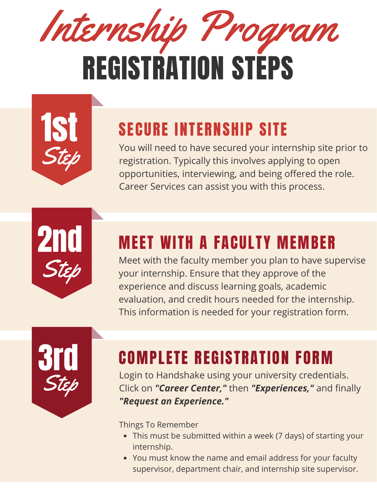

| <b>IST</b> |
|------------|
|            |
|            |
| Step       |
|            |
|            |

## SECURE INTERNSHIP SITE

You will need to have secured your internship site prior to registration. Typically this involves applying to open opportunities, interviewing, and being offered the role. Career Services can assist you with this process.



### MEET WITH A FACULTY MEMBER

Meet with the faculty member you plan to have supervise your internship. Ensure that they approve of the experience and discuss learning goals, academic evaluation, and credit hours needed for the internship. This information is needed for your registration form.



## COMPLETE REGISTRATION FORM

Login to Handshake using your university credentials. Click on *"Career Center,"* then *"Experiences,"* and finally *"Request an Experience."*

Things To Remember

- This must be submitted within a week (7 days) of starting your internship.
- You must know the name and email address for your faculty supervisor, department chair, and internship site supervisor.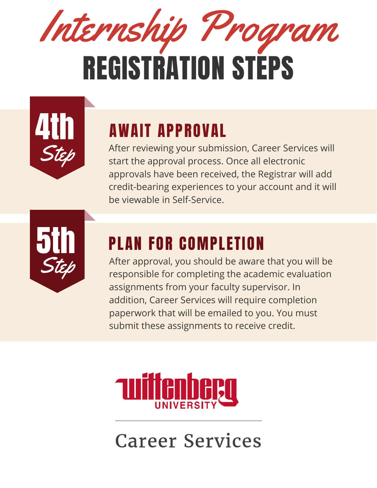



# AWAIT APPROVAL

After reviewing your submission, Career Services will start the approval process. Once all electronic approvals have been received, the Registrar will add credit-bearing experiences to your account and it will be viewable in Self-Service.



## PLAN FOR COMPLETION

After approval, you should be aware that you will be responsible for completing the academic evaluation assignments from your faculty supervisor. In addition, Career Services will require completion paperwork that will be emailed to you. You must submit these assignments to receive credit.



# **Career Services**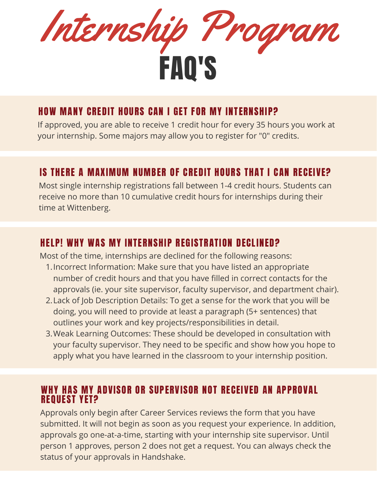

#### HOW MANY CREDIT HOURS CAN I GET FOR MY INTERNSHIP?

If approved, you are able to receive 1 credit hour for every 35 hours you work at your internship. Some majors may allow you to register for "0" credits.

#### IS THERE A MAXIMUM NUMBER OF CREDIT HOURS THAT I CAN RECEIVE?

Most single internship registrations fall between 1-4 credit hours. Students can receive no more than 10 cumulative credit hours for internships during their time at Wittenberg.

#### HELP! WHY WAS MY INTERNSHIP REGISTRATION DECLINED?

Most of the time, internships are declined for the following reasons:

- Incorrect Information: Make sure that you have listed an appropriate 1. number of credit hours and that you have filled in correct contacts for the approvals (ie. your site supervisor, faculty supervisor, and department chair).
- Lack of Job Description Details: To get a sense for the work that you will be 2. doing, you will need to provide at least a paragraph (5+ sentences) that outlines your work and key projects/responsibilities in detail.
- Weak Learning Outcomes: These should be developed in consultation with 3. your faculty supervisor. They need to be specific and show how you hope to apply what you have learned in the classroom to your internship position.

#### WHY HAS MY ADVISOR OR SUPERVISOR NOT RECEIVED AN APPROVAL REQUEST YET?

Approvals only begin after Career Services reviews the form that you have submitted. It will not begin as soon as you request your experience. In addition, approvals go one-at-a-time, starting with your internship site supervisor. Until person 1 approves, person 2 does not get a request. You can always check the status of your approvals in Handshake.